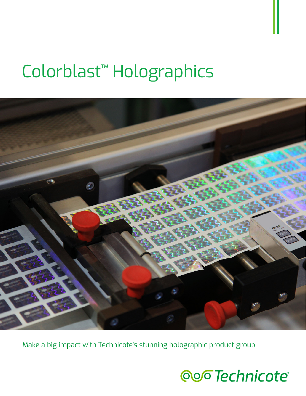# Colorblast™ Holographics



Make a big impact with Technicote's stunning holographic product group